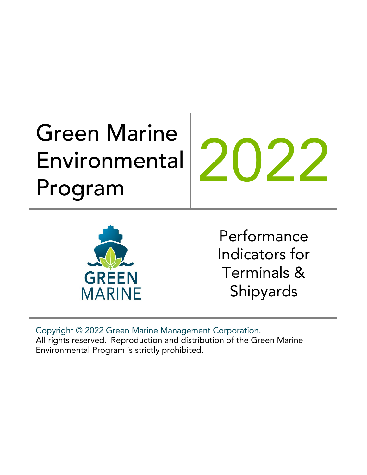# Green Marine Environmental Environmental 2022<br>Program



Performance Indicators for Terminals & Shipyards

Copyright © 2022 Green Marine Management Corporation. All rights reserved. Reproduction and distribution of the Green Marine Environmental Program is strictly prohibited.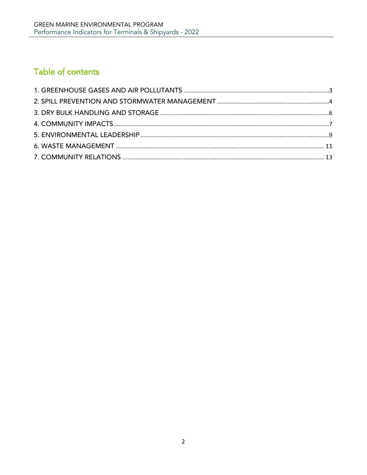## Table of contents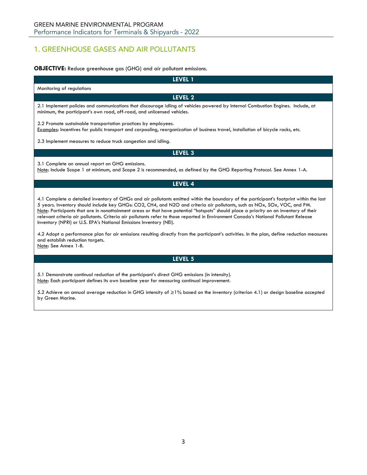## <span id="page-2-0"></span>1. GREENHOUSE GASES AND AIR POLLUTANTS

## **OBJECTIVE:** Reduce greenhouse gas (GHG) and air pollutant emissions.

| LEVEL 1                                                                                                                                                                                                                                                                                                                                                                                                                                                                                                                                                                                                                     |  |  |  |
|-----------------------------------------------------------------------------------------------------------------------------------------------------------------------------------------------------------------------------------------------------------------------------------------------------------------------------------------------------------------------------------------------------------------------------------------------------------------------------------------------------------------------------------------------------------------------------------------------------------------------------|--|--|--|
| Monitoring of regulations                                                                                                                                                                                                                                                                                                                                                                                                                                                                                                                                                                                                   |  |  |  |
| <b>LEVEL 2</b>                                                                                                                                                                                                                                                                                                                                                                                                                                                                                                                                                                                                              |  |  |  |
| 2.1 Implement policies and communications that discourage idling of vehicles powered by Internal Combustion Engines. Include, at<br>minimum, the participant's own road, off-road, and unlicensed vehicles.                                                                                                                                                                                                                                                                                                                                                                                                                 |  |  |  |
| 2.2 Promote sustainable transportation practices by employees.<br>Examples: Incentives for public transport and carpooling, reorganization of business travel, installation of bicycle racks, etc.                                                                                                                                                                                                                                                                                                                                                                                                                          |  |  |  |
| 2.3 Implement measures to reduce truck congestion and idling.                                                                                                                                                                                                                                                                                                                                                                                                                                                                                                                                                               |  |  |  |
| <b>LEVEL 3</b>                                                                                                                                                                                                                                                                                                                                                                                                                                                                                                                                                                                                              |  |  |  |
| 3.1 Complete an annual report on GHG emissions.<br>Note: Include Scope 1 at minimum, and Scope 2 is recommended, as defined by the GHG Reporting Protocol. See Annex 1-A.                                                                                                                                                                                                                                                                                                                                                                                                                                                   |  |  |  |
| <b>LEVEL 4</b>                                                                                                                                                                                                                                                                                                                                                                                                                                                                                                                                                                                                              |  |  |  |
| 4.1 Complete a detailed inventory of GHGs and air pollutants emitted within the boundary of the participant's footprint within the last<br>5 years. Inventory should include key GHGs: CO2, CH4, and N2O and criteria air pollutants, such as NOx, SOx, VOC, and PM.<br>Note: Participants that are in nonattainment areas or that have potential "hotspots" should place a priority on an inventory of their<br>relevant criteria air pollutants. Criteria air pollutants refer to those reported in Environment Canada's National Pollutant Release<br>Inventory (NPRI) or U.S. EPA's National Emissions Inventory (NEI). |  |  |  |
| 4.2 Adopt a performance plan for air emissions resulting directly from the participant's activities. In the plan, define reduction measures<br>and establish reduction targets.<br>Note: See Annex 1-B.                                                                                                                                                                                                                                                                                                                                                                                                                     |  |  |  |
| LEVEL 5                                                                                                                                                                                                                                                                                                                                                                                                                                                                                                                                                                                                                     |  |  |  |
| 5.1 Demonstrate continual reduction of the participant's direct GHG emissions (in intensity).                                                                                                                                                                                                                                                                                                                                                                                                                                                                                                                               |  |  |  |

Note: Each participant defines its own baseline year for measuring continual improvement.

5.2 Achieve an annual average reduction in GHG intensity of ≥1% based on the inventory (criterion 4.1) or design baseline accepted by Green Marine.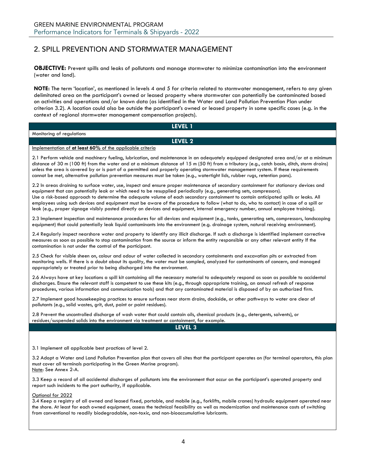## <span id="page-3-0"></span>2. SPILL PREVENTION AND STORMWATER MANAGEMENT

**OBJECTIVE:** Prevent spills and leaks of pollutants and manage stormwater to minimize contamination into the environment (water and land).

**NOTE:** The term 'location', as mentioned in levels 4 and 5 for criteria related to stormwater management, refers to any given delimitated area on the participant's owned or leased property where stormwater can potentially be contaminated based on activities and operations and/or known data (as identified in the Water and Land Pollution Prevention Plan under criterion 3.2). A location could also be outside the participant's owned or leased property in some specific cases (e.g. in the context of regional stormwater management compensation projects).

| LEVEL 1                                                                                                                                                                                                                                                                                                                                                                                                                                                                                                                                                                                                                                                                                 |  |  |
|-----------------------------------------------------------------------------------------------------------------------------------------------------------------------------------------------------------------------------------------------------------------------------------------------------------------------------------------------------------------------------------------------------------------------------------------------------------------------------------------------------------------------------------------------------------------------------------------------------------------------------------------------------------------------------------------|--|--|
| Monitoring of regulations                                                                                                                                                                                                                                                                                                                                                                                                                                                                                                                                                                                                                                                               |  |  |
| LEVEL 2                                                                                                                                                                                                                                                                                                                                                                                                                                                                                                                                                                                                                                                                                 |  |  |
| Implementation of at least 60% of the applicable criteria                                                                                                                                                                                                                                                                                                                                                                                                                                                                                                                                                                                                                               |  |  |
| 2.1 Perform vehicle and machinery fueling, lubrication, and maintenance in an adequately equipped designated area and/or at a minimum<br>distance of 30 m (100 ft) from the water and at a minimum distance of 15 m (50 ft) from a tributary (e.g., catch basin, ditch, storm drains)<br>unless the area is covered by or is part of a permitted and properly operating stormwater management system. If these requirements<br>cannot be met, alternative pollution prevention measures must be taken (e.g., watertight lids, rubber rugs, retention pans).                                                                                                                             |  |  |
| 2.2 In areas draining to surface water, use, inspect and ensure proper maintenance of secondary containment for stationary devices and<br>equipment that can potentially leak or which need to be resupplied periodically (e.g., generating sets, compressors).<br>Use a risk-based approach to determine the adequate volume of each secondary containment to contain anticipated spills or leaks. All<br>employees using such devices and equipment must be aware of the procedure to follow (what to do, who to contact) in case of a spill or<br>leak (e.g., proper signage visibly posted directly on devices and equipment, internal emergency number, annual employee training). |  |  |
| 2.3 Implement inspection and maintenance procedures for all devices and equipment (e.g., tanks, generating sets, compressors, landscaping<br>equipment) that could potentially leak liquid contaminants into the environment (e.g. drainage system, natural receiving environment).                                                                                                                                                                                                                                                                                                                                                                                                     |  |  |
| 2.4 Regularly inspect nearshore water and property to identify any illicit discharge. If such a discharge is identified implement corrective<br>measures as soon as possible to stop contamination from the source or inform the entity responsible or any other relevant entity If the<br>contamination is not under the control of the participant.                                                                                                                                                                                                                                                                                                                                   |  |  |
| 2.5 Check for visible sheen on, colour and odour of water collected in secondary containments and excavation pits or extracted from<br>monitoring wells. If there is a doubt about its quality, the water must be sampled, analyzed for contaminants of concern, and managed<br>appropriately or treated prior to being discharged into the environment.                                                                                                                                                                                                                                                                                                                                |  |  |
| 2.6 Always have at key locations a spill kit containing all the necessary material to adequately respond as soon as possible to accidental<br>discharges. Ensure the relevant staff is competent to use these kits (e.g., through appropriate training, an annual refresh of response<br>procedures, various information and communication tools) and that any contaminated material is disposed of by an authorized firm.                                                                                                                                                                                                                                                              |  |  |
| 2.7 Implement good housekeeping practices to ensure surfaces near storm drains, dockside, or other pathways to water are clear of<br>pollutants (e.g., solid wastes, grit, dust, paint or paint residues).                                                                                                                                                                                                                                                                                                                                                                                                                                                                              |  |  |

2.8 Prevent the uncontrolled discharge of wash water that could contain oils, chemical products (e.g., detergents, solvents), or residues/suspended solids into the environment via treatment or containment, for example.

**LEVEL 3**

3.1 Implement all applicable best practices of level 2.

3.2 Adopt a Water and Land Pollution Prevention plan that covers all sites that the participant operates on (for terminal operators, this plan must cover all terminals participating in the Green Marine program). Note: See Annex 2-A.

3.3 Keep a record of all accidental discharges of pollutants into the environment that occur on the participant's operated property and report such incidents to the port authority, if applicable.

Optional for 2022

3.4 Keep a registry of all owned and leased fixed, portable, and mobile (e.g., forklifts, mobile cranes) hydraulic equipment operated near the shore. At least for each owned equipment, assess the technical feasibility as well as modernization and maintenance costs of switching from conventional to readily biodegradable, non-toxic, and non-bioaccumulative lubricants.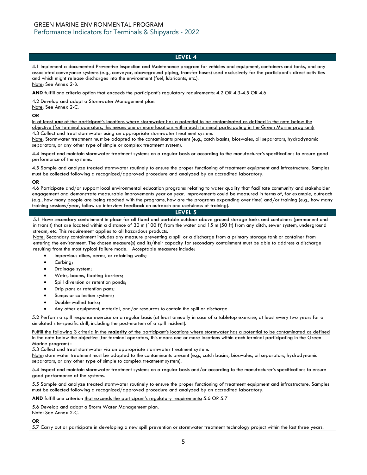4.1 Implement a documented Preventive Inspection and Maintenance program for vehicles and equipment, containers and tanks, and any associated conveyance systems (e.g., conveyor, aboveground piping, transfer hoses) used exclusively for the participant's direct activities and which might release discharges into the environment (fuel, lubricants, etc.). Note: See Annex 2-B.

**AND** fulfill one criteria option that exceeds the participant's regulatory requirements: 4.2 OR 4.3-4.5 OR 4.6

4.2 Develop and adopt a Stormwater Management plan. Note: See Annex 2-C.

#### **OR**

In at least **one** of the participant's locations where stormwater has a potential to be contaminated as defined in the note below the objective (for terminal operators, this means one or more locations within each terminal participating in the Green Marine program): 4.3 Collect and treat stormwater using an appropriate stormwater treatment system.

Note: Stormwater treatment must be adapted to the contaminants present (e.g., catch basins, bioswales, oil separators, hydrodynamic separators, or any other type of simple or complex treatment system).

4.4 Inspect and maintain stormwater treatment systems on a regular basis or according to the manufacturer's specifications to ensure good performance of the systems.

4.5 Sample and analyze treated stormwater routinely to ensure the proper functioning of treatment equipment and infrastructure. Samples must be collected following a recognized/approved procedure and analyzed by an accredited laboratory.

#### **OR**

4.6 Participate and/or support local environmental education programs relating to water quality that facilitate community and stakeholder engagement and demonstrate measurable improvements year on year. Improvements could be measured in terms of, for example, outreach (e.g., how many people are being reached with the programs, how are the programs expanding over time) and/or training (e.g., how many training sessions/year, follow up interview feedback on outreach and usefulness of training).

#### **LEVEL 5**

5.1 Have secondary containment in place for all fixed and portable outdoor above ground storage tanks and containers (permanent and in transit) that are located within a distance of 30 m (100 ft) from the water and 15 m (50 ft) from any ditch, sewer system, underground stream, etc. This requirement applies to all hazardous products.

Note: Secondary containment includes any measure preventing a spill or a discharge from a primary storage tank or container from entering the environment. The chosen measure(s) and its/their capacity for secondary containment must be able to address a discharge resulting from the most typical failure mode. Acceptable measures include:

- Impervious dikes, berms, or retaining walls;
- Curbing;
- Drainage system;
- Weirs, booms, floating barriers;
- Spill diversion or retention ponds;
- Drip pans or retention pans;
- Sumps or collection systems;
- Double-walled tanks;
- Any other equipment, material, and/or resources to contain the spill or discharge.

5.2 Perform a spill response exercise on a regular basis (at least annually in case of a tabletop exercise, at least every two years for a simulated site-specific drill, including the post-mortem of a spill incident).

Fulfill the following 3 criteria in the **majority** of the participant's locations where stormwater has a potential to be contaminated as defined in the note below the objective (for terminal operators, this means one or more locations within each terminal participating in the Green Marine program) :

5.3 Collect and treat stormwater via an appropriate stormwater treatment system.

Note: stormwater treatment must be adapted to the contaminants present (e.g., catch basins, bioswales, oil separators, hydrodynamic separators, or any other type of simple to complex treatment system).

5.4 Inspect and maintain stormwater treatment systems on a regular basis and/or according to the manufacturer's specifications to ensure good performance of the systems.

5.5 Sample and analyze treated stormwater routinely to ensure the proper functioning of treatment equipment and infrastructure. Samples must be collected following a recognized/approved procedure and analyzed by an accredited laboratory.

AND fulfill one criterion that exceeds the participant's regulatory requirements: 5.6 OR 5.7

5.6 Develop and adopt a Storm Water Management plan.

Note: See Annex 2-C.

**OR**

5.7 Carry out or participate in developing a new spill prevention or stormwater treatment technology project within the last three years.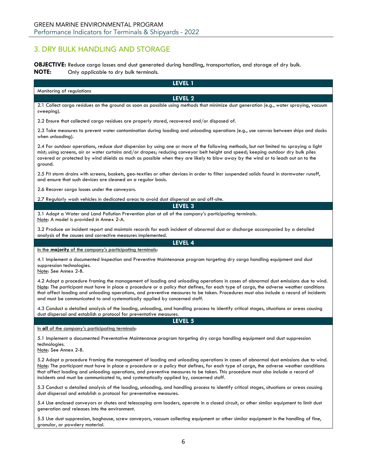## <span id="page-5-0"></span>3. DRY BULK HANDLING AND STORAGE

granular, or powdery material.

**OBJECTIVE:** Reduce cargo losses and dust generated during handling, transportation, and storage of dry bulk.<br>**NOTE:** Only applicable to dry bulk terminals. **NOTE:** Only applicable to dry bulk terminals.

| LEVEL 1                                                                                                                                                                                                                                                                                                                                                                                                                                                                                                 |  |  |
|---------------------------------------------------------------------------------------------------------------------------------------------------------------------------------------------------------------------------------------------------------------------------------------------------------------------------------------------------------------------------------------------------------------------------------------------------------------------------------------------------------|--|--|
| Monitoring of regulations                                                                                                                                                                                                                                                                                                                                                                                                                                                                               |  |  |
| LEVEL 2                                                                                                                                                                                                                                                                                                                                                                                                                                                                                                 |  |  |
| 2.1 Collect cargo residues on the ground as soon as possible using methods that minimize dust generation (e.g., water spraying, vacuum<br>sweeping).                                                                                                                                                                                                                                                                                                                                                    |  |  |
| 2.2 Ensure that collected cargo residues are properly stored, recovered and/or disposed of.                                                                                                                                                                                                                                                                                                                                                                                                             |  |  |
| 2.3 Take measures to prevent water contamination during loading and unloading operations (e.g., use canvas between ships and docks<br>when unloading).                                                                                                                                                                                                                                                                                                                                                  |  |  |
| 2.4 For outdoor operations, reduce dust dispersion by using one or more of the following methods, but not limited to: spraying a light<br>mist; using screens, air or water curtains and/or drapes; reducing conveyor belt height and speed; keeping outdoor dry bulk piles<br>covered or protected by wind shields as much as possible when they are likely to blow away by the wind or to leach out on to the<br>ground.                                                                              |  |  |
| 2.5 Fit storm drains with screens, baskets, geo-textiles or other devices in order to filter suspended solids found in stormwater runoff,<br>and ensure that such devices are cleaned on a regular basis.                                                                                                                                                                                                                                                                                               |  |  |
| 2.6 Recover cargo losses under the conveyors.                                                                                                                                                                                                                                                                                                                                                                                                                                                           |  |  |
| 2.7 Regularly wash vehicles in dedicated areas to avoid dust dispersal on and off-site.                                                                                                                                                                                                                                                                                                                                                                                                                 |  |  |
| LEVEL 3                                                                                                                                                                                                                                                                                                                                                                                                                                                                                                 |  |  |
| 3.1 Adopt a Water and Land Pollution Prevention plan at all of the company's participating terminals.<br>Note: A model is provided in Annex 2-A.                                                                                                                                                                                                                                                                                                                                                        |  |  |
| 3.2 Produce an incident report and maintain records for each incident of abnormal dust or discharge accompanied by a detailed<br>analysis of the causes and corrective measures implemented.                                                                                                                                                                                                                                                                                                            |  |  |
| LEVEL 4                                                                                                                                                                                                                                                                                                                                                                                                                                                                                                 |  |  |
| In the majority of the company's participating terminals:                                                                                                                                                                                                                                                                                                                                                                                                                                               |  |  |
| 4.1 Implement a documented Inspection and Preventive Maintenance program targeting dry cargo handling equipment and dust<br>suppression technologies.<br>Note: See Annex 2-B.                                                                                                                                                                                                                                                                                                                           |  |  |
| 4.2 Adopt a procedure framing the management of loading and unloading operations in cases of abnormal dust emissions due to wind.<br>Note: The participant must have in place a procedure or a policy that defines, for each type of cargo, the adverse weather conditions<br>that affect loading and unloading operations, and preventive measures to be taken. Procedures must also include a record of incidents<br>and must be communicated to and systematically applied by concerned staff.       |  |  |
| 4.3 Conduct a detailed analysis of the loading, unloading, and handling process to identify critical stages, situations or areas causing<br>dust dispersal and establish a protocol for preventative measures.                                                                                                                                                                                                                                                                                          |  |  |
| LEVEL 5                                                                                                                                                                                                                                                                                                                                                                                                                                                                                                 |  |  |
| In all of the company's participating terminals:                                                                                                                                                                                                                                                                                                                                                                                                                                                        |  |  |
| 5.1 Implement a documented Preventative Maintenance program targeting dry cargo handling equipment and dust suppression<br>technologies.<br><u>Note</u> : See Annex 2-B <b>.</b>                                                                                                                                                                                                                                                                                                                        |  |  |
| 5.2 Adopt a procedure framing the management of loading and unloading operations in cases of abnormal dust emissions due to wind.<br>Note: The participant must have in place a procedure or a policy that defines, for each type of cargo, the adverse weather conditions<br>that affect loading and unloading operations, and preventive measures to be taken. This procedure must also include a record of<br>incidents and must be communicated to, and systematically applied by, concerned staff. |  |  |
| 5.3 Conduct a detailed analysis of the loading, unloading, and handling process to identify critical stages, situations or areas causing<br>dust dispersal and establish a protocol for preventative measures.                                                                                                                                                                                                                                                                                          |  |  |
| 5.4 Use enclosed conveyors or chutes and telescoping arm loaders, operate in a closed circuit, or other similar equipment to limit dust<br>generation and releases into the environment.                                                                                                                                                                                                                                                                                                                |  |  |
| 5.5 Use dust suppression, baghouse, screw conveyors, vacuum collecting equipment or other similar equipment in the handling of fine,                                                                                                                                                                                                                                                                                                                                                                    |  |  |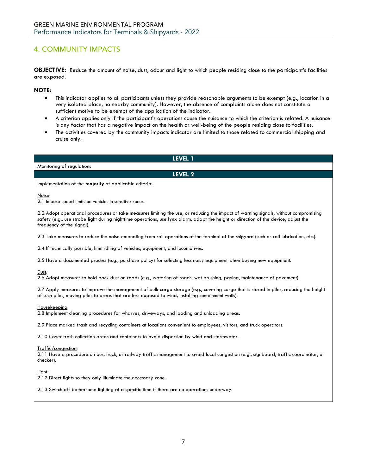## <span id="page-6-0"></span>4. COMMUNITY IMPACTS

**OBJECTIVE:** Reduce the amount of noise, dust, odour and light to which people residing close to the participant's facilities are exposed.

## **NOTE:**

- This indicator applies to all participants unless they provide reasonable arguments to be exempt (e.g., location in a very isolated place, no nearby community). However, the absence of complaints alone does not constitute a sufficient motive to be exempt of the application of the indicator.
- A criterion applies only if the participant's operations cause the nuisance to which the criterion is related. A nuisance is any factor that has a negative impact on the health or well-being of the people residing close to facilities.
- The activities covered by the community impacts indicator are limited to those related to commercial shipping and cruise only.

| <b>LEVEL 1</b>                                                                                                                                                                                                                                                                                          |  |  |
|---------------------------------------------------------------------------------------------------------------------------------------------------------------------------------------------------------------------------------------------------------------------------------------------------------|--|--|
| Monitoring of regulations                                                                                                                                                                                                                                                                               |  |  |
| LEVEL 2                                                                                                                                                                                                                                                                                                 |  |  |
| Implementation of the majority of applicable criteria:                                                                                                                                                                                                                                                  |  |  |
| Noise:<br>2.1 Impose speed limits on vehicles in sensitive zones.                                                                                                                                                                                                                                       |  |  |
| 2.2 Adopt operational procedures or take measures limiting the use, or reducing the impact of warning signals, without compromising<br>safety (e.g., use strobe light during nighttime operations, use lynx alarm, adapt the height or direction of the device, adjust the<br>frequency of the signal). |  |  |
| 2.3 Take measures to reduce the noise emanating from rail operations at the terminal of the shipyard (such as rail lubrication, etc.).                                                                                                                                                                  |  |  |
| 2.4 If technically possible, limit idling of vehicles, equipment, and locomotives.                                                                                                                                                                                                                      |  |  |
| 2.5 Have a documented process (e.g., purchase policy) for selecting less noisy equipment when buying new equipment.                                                                                                                                                                                     |  |  |
| Dust:<br>2.6 Adopt measures to hold back dust on roads (e.g., watering of roads, wet brushing, paving, maintenance of pavement).                                                                                                                                                                        |  |  |
| 2.7 Apply measures to improve the management of bulk cargo storage (e.g., covering cargo that is stored in piles, reducing the height<br>of such piles, moving piles to areas that are less exposed to wind, installing containment walls).                                                             |  |  |
| Housekeeping:<br>2.8 Implement cleaning procedures for wharves, driveways, and loading and unloading areas.                                                                                                                                                                                             |  |  |
| 2.9 Place marked trash and recycling containers at locations convenient to employees, visitors, and truck operators.                                                                                                                                                                                    |  |  |
| 2.10 Cover trash collection areas and containers to avoid dispersion by wind and stormwater.                                                                                                                                                                                                            |  |  |
| Traffic/congestion:<br>2.11 Have a procedure on bus, truck, or railway traffic management to avoid local congestion (e.g., signboard, traffic coordinator, or<br>checker).                                                                                                                              |  |  |
| Light:<br>2.12 Direct lights so they only illuminate the necessary zone.                                                                                                                                                                                                                                |  |  |
| 2.13 Switch off bothersome lighting at a specific time if there are no operations underway.                                                                                                                                                                                                             |  |  |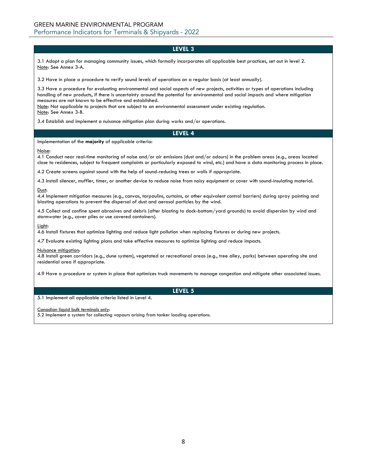3.1 Adopt a plan for managing community issues, which formally incorporates all applicable best practices, set out in level 2. Note: See Annex 3-A.

3.2 Have in place a procedure to verify sound levels of operations on a regular basis (at least annually).

3.3 Have a procedure for evaluating environmental and social aspects of new projects, activities or types of operations including handling of new products, if there is uncertainty around the potential for environmental and social impacts and where mitigation measures are not known to be effective and established.

Note: Not applicable to projects that are subject to an environmental assessment under existing regulation. Note: See Annex 3-B.

3.4 Establish and implement a nuisance mitigation plan during works and/or operations.

## **LEVEL 4**

Implementation of the **majority** of applicable criteria:

Noise:

4.1 Conduct near real-time monitoring of noise and/or air emissions (dust and/or odours) in the problem areas (e.g., areas located close to residences, subject to frequent complaints or particularly exposed to wind, etc.) and have a data monitoring process in place.

4.2 Create screens against sound with the help of sound-reducing trees or walls if appropriate.

4.3 Install silencer, muffler, timer, or another device to reduce noise from noisy equipment or cover with sound-insulating material.

#### Dust:

4.4 Implement mitigation measures (e.g., canvas, tarpaulins, curtains, or other equivalent control barriers) during spray painting and blasting operations to prevent the dispersal of dust and aerosol particles by the wind.

4.5 Collect and confine spent abrasives and debris (after blasting to dock-bottom/yard grounds) to avoid dispersion by wind and stormwater (e.g., cover piles or use covered containers).

#### Light:

4.6 Install fixtures that optimize lighting and reduce light pollution when replacing fixtures or during new projects.

4.7 Evaluate existing lighting plans and take effective measures to optimize lighting and reduce impacts.

#### Nuisance mitigation:

4.8 Install green corridors (e.g., dune system), vegetated or recreational areas (e.g., tree alley, parks) between operating site and residential area if appropriate.

4.9 Have a procedure or system in place that optimizes truck movements to manage congestion and mitigate other associated issues.

## **LEVEL 5**

5.1 Implement all applicable criteria listed in Level 4.

Canadian liquid bulk terminals only:

<span id="page-7-0"></span>5.2 Implement a system for collecting vapours arising from tanker loading operations.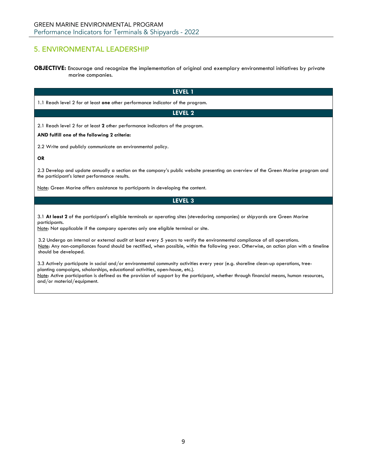## 5. ENVIRONMENTAL LEADERSHIP

**OBJECTIVE:** Encourage and recognize the implementation of original and exemplary environmental initiatives by private marine companies.

| <b>LEVEL 1</b>                                                                                                                                                                                                                                                                                                                                                                                                                                                                                                                         |  |  |  |
|----------------------------------------------------------------------------------------------------------------------------------------------------------------------------------------------------------------------------------------------------------------------------------------------------------------------------------------------------------------------------------------------------------------------------------------------------------------------------------------------------------------------------------------|--|--|--|
| 1.1 Reach level 2 for at least one other performance indicator of the program.                                                                                                                                                                                                                                                                                                                                                                                                                                                         |  |  |  |
| LEVEL 2                                                                                                                                                                                                                                                                                                                                                                                                                                                                                                                                |  |  |  |
| 2.1 Reach level 2 for at least 2 other performance indicators of the program.                                                                                                                                                                                                                                                                                                                                                                                                                                                          |  |  |  |
| AND fulfill one of the following 2 criteria:                                                                                                                                                                                                                                                                                                                                                                                                                                                                                           |  |  |  |
| 2.2 Write and publicly communicate an environmental policy.                                                                                                                                                                                                                                                                                                                                                                                                                                                                            |  |  |  |
| <b>OR</b>                                                                                                                                                                                                                                                                                                                                                                                                                                                                                                                              |  |  |  |
| 2.3 Develop and update annually a section on the company's public website presenting an overview of the Green Marine program and<br>the participant's latest performance results.                                                                                                                                                                                                                                                                                                                                                      |  |  |  |
| Note: Green Marine offers assistance to participants in developing the content.                                                                                                                                                                                                                                                                                                                                                                                                                                                        |  |  |  |
| <b>LEVEL 3</b>                                                                                                                                                                                                                                                                                                                                                                                                                                                                                                                         |  |  |  |
| 3.1 At least 2 of the participant's eligible terminals or operating sites (stevedoring companies) or shipyards are Green Marine<br>participants.<br>Note: Not applicable if the company operates only one eligible terminal or site.<br>3.2 Undergo an internal or external audit at least every 5 years to verify the environmental compliance of all operations.<br>Note: Any non-compliances found should be rectified, when possible, within the following year. Otherwise, an action plan with a timeline<br>should be developed. |  |  |  |

3.3 Actively participate in social and/or environmental community activities every year (e.g. shoreline clean-up operations, treeplanting campaigns, scholarships, educational activities, open-house, etc.). Note: Active participation is defined as the provision of support by the participant, whether through financial means, human resources, and/or material/equipment.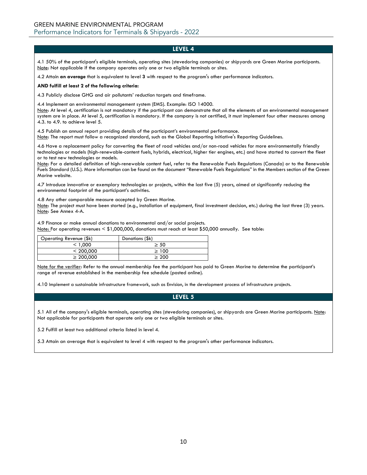4.1 50% of the participant's eligible terminals, operating sites (stevedoring companies) or shipyards are Green Marine participants. Note: Not applicable if the company operates only one or two eligible terminals or sites.

4.2 Attain **an average** that is equivalent to level **3** with respect to the program's other performance indicators.

### **AND fulfill at least 2 of the following criteria:**

4.3 Publicly disclose GHG and air pollutants' reduction targets and timeframe.

4.4 Implement an environmental management system (EMS). Example: ISO 14000.

Note: At level 4, certification is not mandatory if the participant can demonstrate that all the elements of an environmental management system are in place. At level 5, certification is mandatory. If the company is not certified, it must implement four other measures among 4.3. to 4.9. to achieve level 5.

4.5 Publish an annual report providing details of the participant's environmental performance. Note: The report must follow a recognized standard, such as the Global Reporting Initiative's Reporting Guidelines.

4.6 Have a replacement policy for converting the fleet of road vehicles and/or non-road vehicles for more environmentally friendly technologies or models (high-renewable-content fuels, hybrids, electrical, higher tier engines, etc.) and have started to convert the fleet or to test new technologies or models.

Note: For a detailed definition of high-renewable content fuel, refer to the Renewable Fuels Regulations (Canada) or to the Renewable Fuels Standard (U.S.). More information can be found on the document "Renewable Fuels Regulations" in the Members section of the Green Marine website.

4.7 Introduce innovative or exemplary technologies or projects, within the last five (5) years, aimed at significantly reducing the environmental footprint of the participant's activities.

4.8 Any other comparable measure accepted by Green Marine.

Note: The project must have been started (e.g., installation of equipment, final investment decision, etc.) during the last three (3) years. Note: See Annex 4-A.

4.9 Finance or make annual donations to environmental and/or social projects. Note: For operating revenues < \$1,000,000, donations must reach at least \$50,000 annually. See table:

| Operating Revenue (\$k) | Donations (\$k) |
|-------------------------|-----------------|
| < 1.000                 | $\geq 50$       |
| < 200.000               | >100            |
| $\geq 200.000$          | $\geq 200$      |

Note for the verifier: Refer to the annual membership fee the participant has paid to Green Marine to determine the participant's range of revenue established in the membership fee schedule (posted online).

4.10 Implement a sustainable infrastructure framework, such as Envision, in the development process of infrastructure projects.

## **LEVEL 5**

5.1 All of the company's eligible terminals, operating sites (stevedoring companies), or shipyards are Green Marine participants. Note: Not applicable for participants that operate only one or two eligible terminals or sites.

5.2 Fulfill at least two additional criteria listed in level 4.

5.3 Attain an average that is equivalent to level 4 with respect to the program's other performance indicators.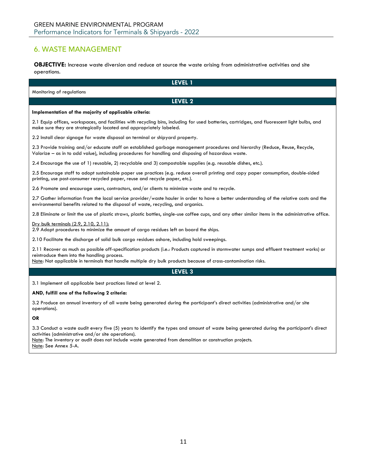## <span id="page-10-0"></span>6. WASTE MANAGEMENT

**OBJECTIVE:** Increase waste diversion and reduce at source the waste arising from administrative activities and site operations.

**LEVEL 1** Monitoring of regulations **LEVEL 2 Implementation of the majority of applicable criteria:** 2.1 Equip offices, workspaces, and facilities with recycling bins, including for used batteries, cartridges, and fluorescent light bulbs, and make sure they are strategically located and appropriately labeled. 2.2 Install clear signage for waste disposal on terminal or shipyard property. 2.3 Provide training and/or educate staff on established garbage management procedures and hierarchy (Reduce, Reuse, Recycle, Valorize – as in to add value), including procedures for handling and disposing of hazardous waste. 2.4 Encourage the use of 1) reusable, 2) recyclable and 3) compostable supplies (e.g. reusable dishes, etc.). 2.5 Encourage staff to adopt sustainable paper use practices (e.g. reduce overall printing and copy paper consumption, double-sided printing, use post-consumer recycled paper, reuse and recycle paper, etc.). 2.6 Promote and encourage users, contractors, and/or clients to minimize waste and to recycle. 2.7 Gather information from the local service provider/waste hauler in order to have a better understanding of the relative costs and the environmental benefits related to the disposal of waste, recycling, and organics. 2.8 Eliminate or limit the use of plastic straws, plastic bottles, single-use coffee cups, and any other similar items in the administrative office. Dry bulk terminals (2.9, 2.10, 2.11): 2.9 Adopt procedures to minimize the amount of cargo residues left on board the ships. 2.10 Facilitate the discharge of solid bulk cargo residues ashore, including hold sweepings. 2.11 Recover as much as possible off-specification products (i.e.: Products captured in stormwater sumps and effluent treatment works) or reintroduce them into the handling process. Note: Not applicable in terminals that handle multiple dry bulk products because of cross-contamination risks. **LEVEL 3** 3.1 Implement all applicable best practices listed at level 2. **AND, fulfill one of the following 2 criteria:** 3.2 Produce an annual inventory of all waste being generated during the participant's direct activities (administrative and/or site operations). **OR** 3.3 Conduct a waste audit every five (5) years to identify the types and amount of waste being generated during the participant's direct activities (administrative and/or site operations). Note: The inventory or audit does not include waste generated from demolition or construction projects. Note: See Annex 5-A.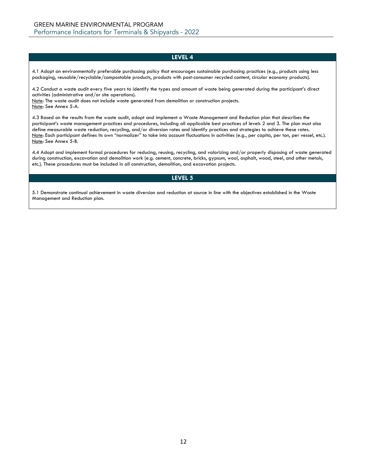4.1 Adopt an environmentally preferable purchasing policy that encourages sustainable purchasing practices (e.g., products using less packaging, reusable/recyclable/compostable products, products with post-consumer recycled content, circular economy products).

4.2 Conduct a waste audit every five years to identify the types and amount of waste being generated during the participant's direct activities (administrative and/or site operations).

Note: The waste audit does not include waste generated from demolition or construction projects. Note: See Annex 5-A.

4.3 Based on the results from the waste audit, adopt and implement a Waste Management and Reduction plan that describes the participant's waste management practices and procedures, including all applicable best practices of levels 2 and 3. The plan must also define measurable waste reduction, recycling, and/or diversion rates and identify practices and strategies to achieve these rates. Note: Each participant defines its own "normalizer" to take into account fluctuations in activities (e.g., per capita, per ton, per vessel, etc.). Note: See Annex 5-B.

4.4 Adopt and implement formal procedures for reducing, reusing, recycling, and valorizing and/or properly disposing of waste generated during construction, excavation and demolition work (e.g. cement, concrete, bricks, gypsum, wool, asphalt, wood, steel, and other metals, etc.). These procedures must be included in all construction, demolition, and excavation projects.

## **LEVEL 5**

5.1 Demonstrate continual achievement in waste diversion and reduction at source in line with the objectives established in the Waste Management and Reduction plan.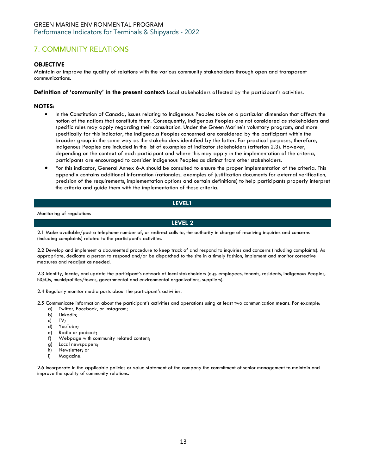## <span id="page-12-0"></span>7. COMMUNITY RELATIONS

## **OBJECTIVE**

Maintain or improve the quality of relations with the various community stakeholders through open and transparent communications.

**Definition of 'community' in the present context**: Local stakeholders affected by the participant's activities.

## **NOTES:**

- In the Constitution of Canada, issues relating to Indigenous Peoples take on a particular dimension that affects the notion of the nations that constitute them. Consequently, Indigenous Peoples are not considered as stakeholders and specific rules may apply regarding their consultation. Under the Green Marine's voluntary program, and more specifically for this indicator, the Indigenous Peoples concerned are considered by the participant within the broader group in the same way as the stakeholders identified by the latter. For practical purposes, therefore, Indigenous Peoples are included in the list of examples of indicator stakeholders (criterion 2.3). However, depending on the context of each participant and where this may apply in the implementation of the criteria, participants are encouraged to consider Indigenous Peoples as distinct from other stakeholders.
- For this indicator, General Annex 6-A should be consulted to ensure the proper implementation of the criteria. This appendix contains additional information (rationales, examples of justification documents for external verification, precision of the requirements, implementation options and certain definitions) to help participants properly interpret the criteria and guide them with the implementation of these criteria.

## **LEVEL1**

Monitoring of regulations

**LEVEL 2**

2.1 Make available/post a telephone number of, or redirect calls to, the authority in charge of receiving inquiries and concerns (including complaints) related to the participant's activities.

2.2 Develop and implement a documented procedure to keep track of and respond to inquiries and concerns (including complaints). As appropriate, dedicate a person to respond and/or be dispatched to the site in a timely fashion, implement and monitor corrective measures and readjust as needed.

2.3 Identify, locate, and update the participant's network of local stakeholders (e.g. employees, tenants, residents, Indigenous Peoples, NGOs, municipalities/towns, governmental and environmental organizations, suppliers).

2.4 Regularly monitor media posts about the participant's activities.

2.5 Communicate information about the participant's activities and operations using at least two communication means. For example:

- a) Twitter, Facebook, or Instagram;
- b) LinkedIn;
- c) TV;
- d) YouTube;
- e) Radio or podcast;
- f) Webpage with community related content;
- g) Local newspapers;
- h) Newsletter; or
- i) Magazine.

2.6 Incorporate in the applicable policies or value statement of the company the commitment of senior management to maintain and improve the quality of community relations.